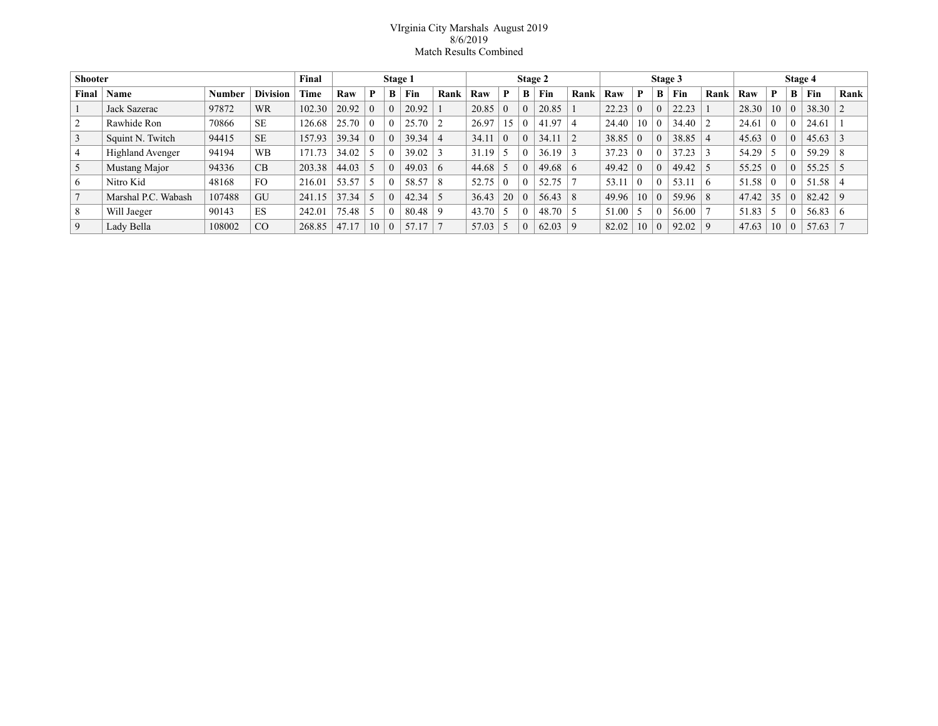## VIrginia City Marshals August 2019 8/6/2019 Match Results Combined

| <b>Shooter</b> |                     |               | Final           | Stage 1 |       |          |          | Stage 2 |          |       |                 | Stage 3 |          |          |                | Stage 4        |          |           |            |       |          |   |       |             |
|----------------|---------------------|---------------|-----------------|---------|-------|----------|----------|---------|----------|-------|-----------------|---------|----------|----------|----------------|----------------|----------|-----------|------------|-------|----------|---|-------|-------------|
| Final          | Name                | <b>Number</b> | <b>Division</b> | Time    | Raw   | P        | В        | Fin     | Rank     | Raw   | P               | B       | Fin      | Rank     | Raw            | P              | B        | Fin       | Rank       | Raw   | P        | B | Fin   | Rank        |
|                | Jack Sazerac        | 97872         | <b>WR</b>       | 102.30  | 20.92 | $\theta$ |          | 20.92   |          | 20.85 | $\theta$        |         | 20.85    |          | 22.23          | $\theta$       | $\Omega$ | 22.23     |            | 28.30 | 10       |   | 38.30 |             |
|                | Rawhide Ron         | 70866         | <b>SE</b>       | 126.68  | 25.70 | $\theta$ |          | 25.70   |          | 26.97 | 15 <sup>5</sup> |         | .97<br>4 |          | 24.40          | -10            | $\theta$ | 34.40     |            | 24.61 | $\theta$ |   | 24.61 |             |
| 3              | Squint N. Twitch    | 94415         | <b>SE</b>       | 157.93  | 39.34 | $\theta$ |          | 39.34   |          | 34.11 | $\theta$        |         | 34.11    |          | 38.85          | $\theta$       | $\Omega$ | 38.85     |            | 45.63 | $\Omega$ |   | 45.63 |             |
| 4              | Highland Avenger    | 94194         | <b>WB</b>       | 171.73  | 34.02 |          |          | 39.02   |          | 31.19 |                 |         | 36.19    |          | 37.23          | $\theta$       | $\Omega$ | 37.23     |            | 54.29 |          |   | 59.29 | 8           |
| 5              | Mustang Major       | 94336         | CB              | 203.38  | 44.03 | -5       |          | 49.03   | $\sigma$ | 44.68 |                 |         | 49.68    | $\sigma$ | 49.42          | $\theta$       | $\Omega$ | 49.42     |            | 55.25 | $\Omega$ |   | 55.25 |             |
| 6              | Nitro Kid           | 48168         | FO              | 216.01  | 53.57 | 5        |          | 58.57   | 8        | 52.75 | $\Omega$        |         | 52.75    |          | 53.11          | $\theta$       | $\theta$ | 53.11     | $\sqrt{2}$ | 51.58 | $\theta$ |   | 51.58 |             |
|                | Marshal P.C. Wabash | 107488        | GU              | 241.15  | 37.34 | -5       |          | 42.34   |          | 36.43 | 20              |         | 56.43    | 8        | $49.96 \pm 10$ |                | $\Omega$ | $59.96$ 8 |            | 47.42 | 35       |   | 82.42 | $\mathbf Q$ |
| 8              | Will Jaeger         | 90143         | ES              | 242.01  | 75.48 | -5       |          | 80.48   | Q        | 43.70 | د ا             |         | 48.70    |          | 51.00          | $\overline{5}$ | $\Omega$ | 56.00     |            | 51.83 |          |   | 56.83 | $\sigma$    |
| 9              | Lady Bella          | 108002        | CO              | 268.85  | 47.17 | 10       | $\Omega$ | 57.17   |          | 57.03 |                 |         | 62.03    | $\Omega$ | 82.02          | 10             | $\Omega$ | 92.02     | $\Omega$   | 47.63 | 10       |   | 57.63 |             |